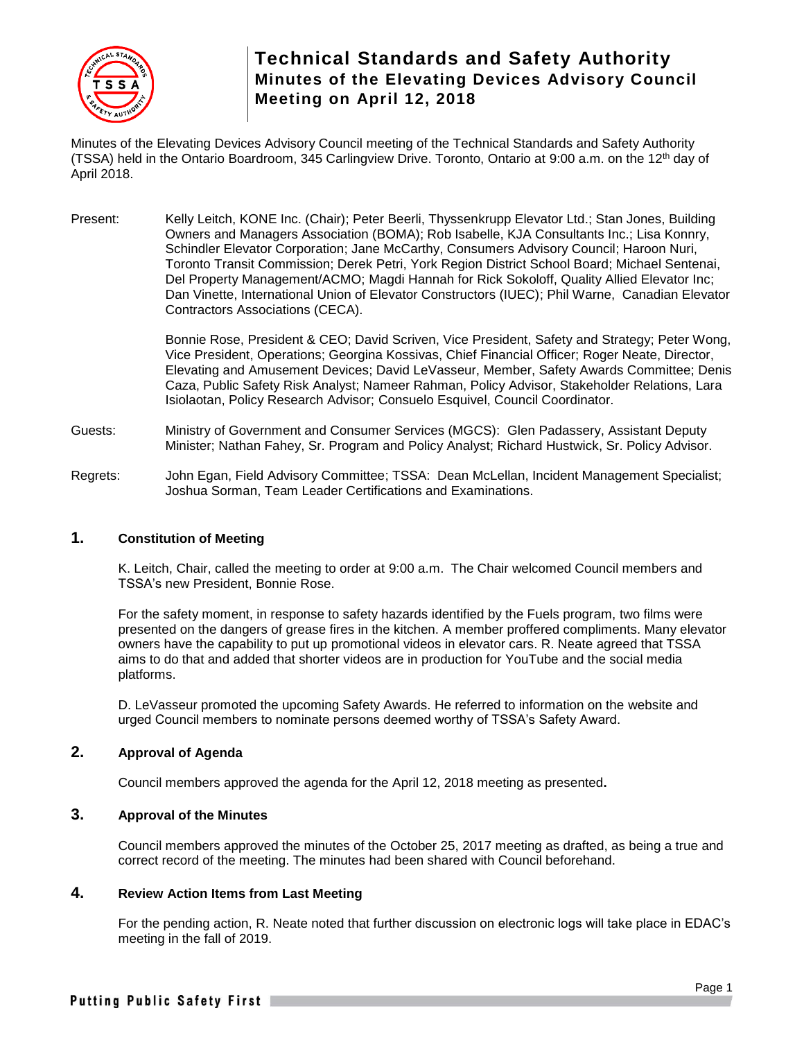

Minutes of the Elevating Devices Advisory Council meeting of the Technical Standards and Safety Authority (TSSA) held in the Ontario Boardroom, 345 Carlingview Drive. Toronto, Ontario at 9:00 a.m. on the 12<sup>th</sup> day of April 2018.

Present: Kelly Leitch, KONE Inc. (Chair); Peter Beerli, Thyssenkrupp Elevator Ltd.; Stan Jones, Building Owners and Managers Association (BOMA); Rob Isabelle, KJA Consultants Inc.; Lisa Konnry, Schindler Elevator Corporation; Jane McCarthy, Consumers Advisory Council; Haroon Nuri, Toronto Transit Commission; Derek Petri, York Region District School Board; Michael Sentenai, Del Property Management/ACMO; Magdi Hannah for Rick Sokoloff, Quality Allied Elevator Inc; Dan Vinette, International Union of Elevator Constructors (IUEC); Phil Warne, Canadian Elevator Contractors Associations (CECA).

> Bonnie Rose, President & CEO; David Scriven, Vice President, Safety and Strategy; Peter Wong, Vice President, Operations; Georgina Kossivas, Chief Financial Officer; Roger Neate, Director, Elevating and Amusement Devices; David LeVasseur, Member, Safety Awards Committee; Denis Caza, Public Safety Risk Analyst; Nameer Rahman, Policy Advisor, Stakeholder Relations, Lara Isiolaotan, Policy Research Advisor; Consuelo Esquivel, Council Coordinator.

- Guests: Ministry of Government and Consumer Services (MGCS): Glen Padassery, Assistant Deputy Minister; Nathan Fahey, Sr. Program and Policy Analyst; Richard Hustwick, Sr. Policy Advisor.
- Regrets: John Egan, Field Advisory Committee; TSSA: Dean McLellan, Incident Management Specialist; Joshua Sorman, Team Leader Certifications and Examinations.

#### **1. Constitution of Meeting**

K. Leitch, Chair, called the meeting to order at 9:00 a.m. The Chair welcomed Council members and TSSA's new President, Bonnie Rose.

For the safety moment, in response to safety hazards identified by the Fuels program, two films were presented on the dangers of grease fires in the kitchen. A member proffered compliments. Many elevator owners have the capability to put up promotional videos in elevator cars. R. Neate agreed that TSSA aims to do that and added that shorter videos are in production for YouTube and the social media platforms.

D. LeVasseur promoted the upcoming Safety Awards. He referred to information on the website and urged Council members to nominate persons deemed worthy of TSSA's Safety Award.

### **2. Approval of Agenda**

Council members approved the agenda for the April 12, 2018 meeting as presented**.**

#### **3. Approval of the Minutes**

Council members approved the minutes of the October 25, 2017 meeting as drafted, as being a true and correct record of the meeting. The minutes had been shared with Council beforehand.

### **4. Review Action Items from Last Meeting**

For the pending action, R. Neate noted that further discussion on electronic logs will take place in EDAC's meeting in the fall of 2019.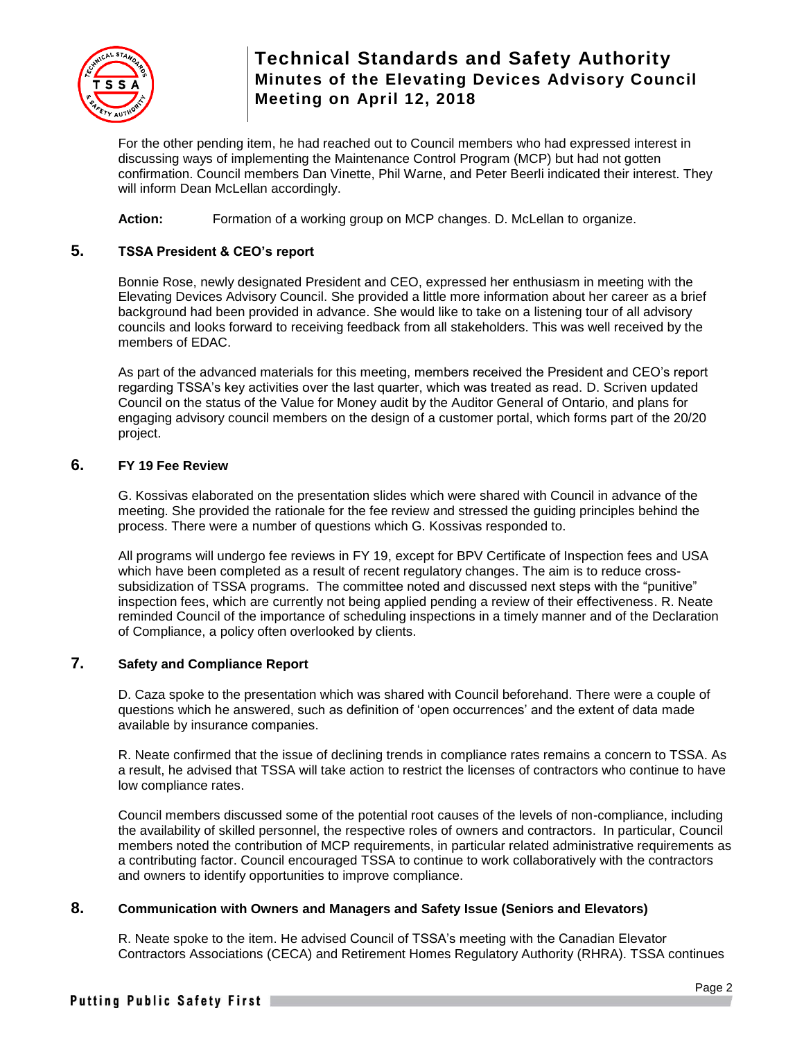

For the other pending item, he had reached out to Council members who had expressed interest in discussing ways of implementing the Maintenance Control Program (MCP) but had not gotten confirmation. Council members Dan Vinette, Phil Warne, and Peter Beerli indicated their interest. They will inform Dean McLellan accordingly.

**Action:** Formation of a working group on MCP changes. D. McLellan to organize.

### **5. TSSA President & CEO's report**

Bonnie Rose, newly designated President and CEO, expressed her enthusiasm in meeting with the Elevating Devices Advisory Council. She provided a little more information about her career as a brief background had been provided in advance. She would like to take on a listening tour of all advisory councils and looks forward to receiving feedback from all stakeholders. This was well received by the members of EDAC.

As part of the advanced materials for this meeting, members received the President and CEO's report regarding TSSA's key activities over the last quarter, which was treated as read. D. Scriven updated Council on the status of the Value for Money audit by the Auditor General of Ontario, and plans for engaging advisory council members on the design of a customer portal, which forms part of the 20/20 project.

### **6. FY 19 Fee Review**

G. Kossivas elaborated on the presentation slides which were shared with Council in advance of the meeting. She provided the rationale for the fee review and stressed the guiding principles behind the process. There were a number of questions which G. Kossivas responded to.

All programs will undergo fee reviews in FY 19, except for BPV Certificate of Inspection fees and USA which have been completed as a result of recent regulatory changes. The aim is to reduce crosssubsidization of TSSA programs. The committee noted and discussed next steps with the "punitive" inspection fees, which are currently not being applied pending a review of their effectiveness. R. Neate reminded Council of the importance of scheduling inspections in a timely manner and of the Declaration of Compliance, a policy often overlooked by clients.

### **7. Safety and Compliance Report**

D. Caza spoke to the presentation which was shared with Council beforehand. There were a couple of questions which he answered, such as definition of 'open occurrences' and the extent of data made available by insurance companies.

R. Neate confirmed that the issue of declining trends in compliance rates remains a concern to TSSA. As a result, he advised that TSSA will take action to restrict the licenses of contractors who continue to have low compliance rates.

Council members discussed some of the potential root causes of the levels of non-compliance, including the availability of skilled personnel, the respective roles of owners and contractors. In particular, Council members noted the contribution of MCP requirements, in particular related administrative requirements as a contributing factor. Council encouraged TSSA to continue to work collaboratively with the contractors and owners to identify opportunities to improve compliance.

### **8. Communication with Owners and Managers and Safety Issue (Seniors and Elevators)**

R. Neate spoke to the item. He advised Council of TSSA's meeting with the Canadian Elevator Contractors Associations (CECA) and Retirement Homes Regulatory Authority (RHRA). TSSA continues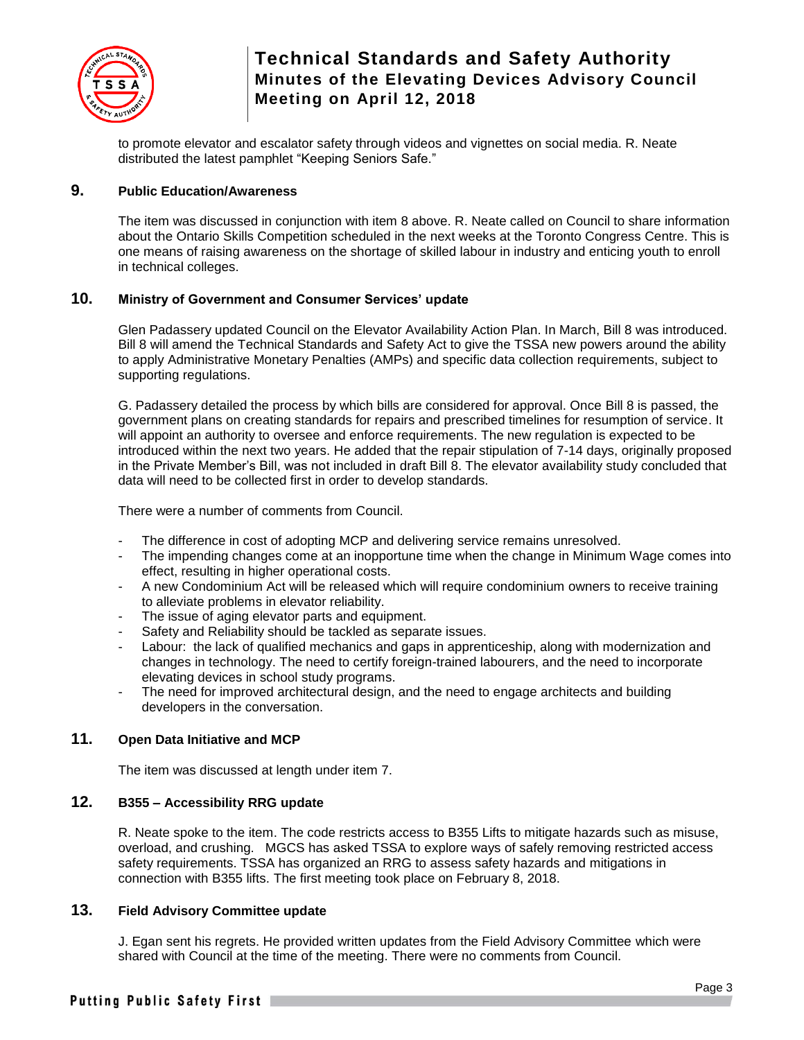

to promote elevator and escalator safety through videos and vignettes on social media. R. Neate distributed the latest pamphlet "Keeping Seniors Safe."

## **9. Public Education/Awareness**

The item was discussed in conjunction with item 8 above. R. Neate called on Council to share information about the Ontario Skills Competition scheduled in the next weeks at the Toronto Congress Centre. This is one means of raising awareness on the shortage of skilled labour in industry and enticing youth to enroll in technical colleges.

### **10. Ministry of Government and Consumer Services' update**

Glen Padassery updated Council on the Elevator Availability Action Plan. In March, Bill 8 was introduced. Bill 8 will amend the Technical Standards and Safety Act to give the TSSA new powers around the ability to apply Administrative Monetary Penalties (AMPs) and specific data collection requirements, subject to supporting regulations.

G. Padassery detailed the process by which bills are considered for approval. Once Bill 8 is passed, the government plans on creating standards for repairs and prescribed timelines for resumption of service. It will appoint an authority to oversee and enforce requirements. The new regulation is expected to be introduced within the next two years. He added that the repair stipulation of 7-14 days, originally proposed in the Private Member's Bill, was not included in draft Bill 8. The elevator availability study concluded that data will need to be collected first in order to develop standards.

There were a number of comments from Council.

- The difference in cost of adopting MCP and delivering service remains unresolved.
- The impending changes come at an inopportune time when the change in Minimum Wage comes into effect, resulting in higher operational costs.
- A new Condominium Act will be released which will require condominium owners to receive training to alleviate problems in elevator reliability.
- The issue of aging elevator parts and equipment.
- Safety and Reliability should be tackled as separate issues.
- Labour: the lack of qualified mechanics and gaps in apprenticeship, along with modernization and changes in technology. The need to certify foreign-trained labourers, and the need to incorporate elevating devices in school study programs.
- The need for improved architectural design, and the need to engage architects and building developers in the conversation.

### **11. Open Data Initiative and MCP**

The item was discussed at length under item 7.

## **12. B355 – Accessibility RRG update**

R. Neate spoke to the item. The code restricts access to B355 Lifts to mitigate hazards such as misuse, overload, and crushing. MGCS has asked TSSA to explore ways of safely removing restricted access safety requirements. TSSA has organized an RRG to assess safety hazards and mitigations in connection with B355 lifts. The first meeting took place on February 8, 2018.

## **13. Field Advisory Committee update**

J. Egan sent his regrets. He provided written updates from the Field Advisory Committee which were shared with Council at the time of the meeting. There were no comments from Council.